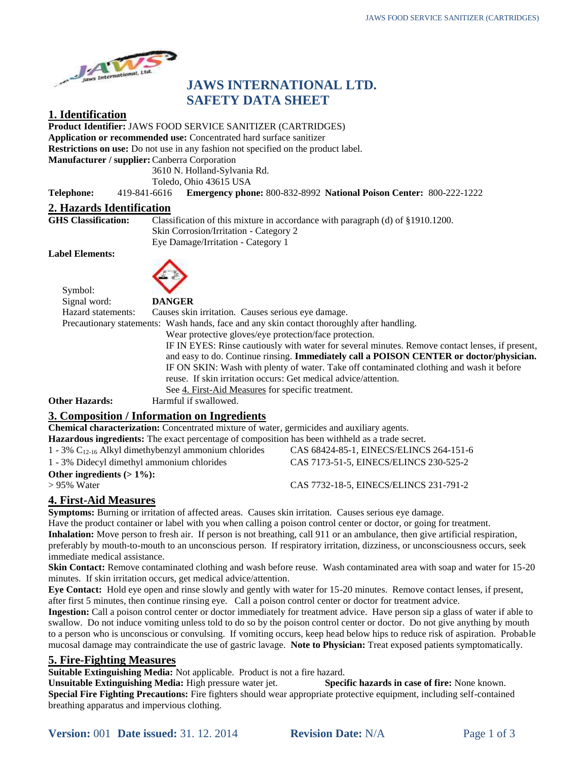

# **JAWS INTERNATIONAL LTD. SAFETY DATA SHEET**

#### **1. Identification**

**Product Identifier:** JAWS FOOD SERVICE SANITIZER (CARTRIDGES)

**Application or recommended use:** Concentrated hard surface sanitizer

**Restrictions on use:** Do not use in any fashion not specified on the product label.

**Manufacturer / supplier:**Canberra Corporation

3610 N. Holland-Sylvania Rd.

Toledo, Ohio 43615 USA

**Telephone:** 419-841-6616 **Emergency phone:** 800-832-8992 **National Poison Center:** 800-222-1222

# **2. Hazards Identification**

Classification of this mixture in accordance with paragraph (d) of §1910.1200. Skin Corrosion/Irritation - Category 2 Eye Damage/Irritation - Category 1

**Label Elements:**

Symbol:



| Signal word:                                  | <b>DANGER</b>                                                                                                                                                                                                                                                                                    |
|-----------------------------------------------|--------------------------------------------------------------------------------------------------------------------------------------------------------------------------------------------------------------------------------------------------------------------------------------------------|
| Hazard statements:                            | Causes skin irritation. Causes serious eye damage.                                                                                                                                                                                                                                               |
|                                               | Precautionary statements: Wash hands, face and any skin contact thoroughly after handling.                                                                                                                                                                                                       |
|                                               | Wear protective gloves/eye protection/face protection.                                                                                                                                                                                                                                           |
|                                               | IF IN EYES: Rinse cautiously with water for several minutes. Remove contact lenses, if present,                                                                                                                                                                                                  |
|                                               | and easy to do. Continue rinsing. Immediately call a POISON CENTER or doctor/physician.                                                                                                                                                                                                          |
|                                               | IF ON SKIN: Wash with plenty of water. Take off contaminated clothing and wash it before                                                                                                                                                                                                         |
|                                               | reuse. If skin irritation occurs: Get medical advice/attention.                                                                                                                                                                                                                                  |
|                                               | See 4. First-Aid Measures for specific treatment.                                                                                                                                                                                                                                                |
| <b>Other Hazards:</b>                         | Harmful if swallowed.                                                                                                                                                                                                                                                                            |
| $\sim$ $\sim$<br>$\bullet\ ^{1}\bullet\ ^{1}$ | $\mathbf{1}$ and $\mathbf{1}$ and $\mathbf{1}$ and $\mathbf{1}$ and $\mathbf{1}$ and $\mathbf{1}$ and $\mathbf{1}$ and $\mathbf{1}$ and $\mathbf{1}$ and $\mathbf{1}$ and $\mathbf{1}$ and $\mathbf{1}$ and $\mathbf{1}$ and $\mathbf{1}$ and $\mathbf{1}$ and $\mathbf{1}$ and $\mathbf{1}$ and |

## **3. Composition / Information on Ingredients**

**Chemical characterization:** Concentrated mixture of water, germicides and auxiliary agents.

| <b>Hazardous ingredients:</b> The exact percentage of composition has been withheld as a trade secret. |                                         |
|--------------------------------------------------------------------------------------------------------|-----------------------------------------|
|                                                                                                        |                                         |
| 1 - 3% $C_{12-16}$ Alkyl dimethybenzyl ammonium chlorides                                              | CAS 68424-85-1, EINECS/ELINCS 264-151-6 |
| 1 - 3% Didecyl dimethyl ammonium chlorides                                                             | CAS 7173-51-5, EINECS/ELINCS 230-525-2  |
| Other ingredients $(>1\%)$ :                                                                           |                                         |
| $> 95\%$ Water                                                                                         | CAS 7732-18-5, EINECS/ELINCS 231-791-2  |

# **4. First-Aid Measures**

**Symptoms:** Burning or irritation of affected areas. Causes skin irritation. Causes serious eye damage. Have the product container or label with you when calling a poison control center or doctor, or going for treatment. **Inhalation:** Move person to fresh air. If person is not breathing, call 911 or an ambulance, then give artificial respiration, preferably by mouth-to-mouth to an unconscious person. If respiratory irritation, dizziness, or unconsciousness occurs, seek immediate medical assistance.

**Skin Contact:** Remove contaminated clothing and wash before reuse. Wash contaminated area with soap and water for 15-20 minutes. If skin irritation occurs, get medical advice/attention.

**Eye Contact:** Hold eye open and rinse slowly and gently with water for 15-20 minutes. Remove contact lenses, if present, after first 5 minutes, then continue rinsing eye. Call a poison control center or doctor for treatment advice.

**Ingestion:** Call a poison control center or doctor immediately for treatment advice. Have person sip a glass of water if able to swallow. Do not induce vomiting unless told to do so by the poison control center or doctor. Do not give anything by mouth to a person who is unconscious or convulsing. If vomiting occurs, keep head below hips to reduce risk of aspiration. Probable mucosal damage may contraindicate the use of gastric lavage. **Note to Physician:** Treat exposed patients symptomatically.

## **5. Fire-Fighting Measures**

**Suitable Extinguishing Media:** Not applicable. Product is not a fire hazard.

**Unsuitable Extinguishing Media:** High pressure water jet. **Specific hazards in case of fire:** None known. **Special Fire Fighting Precautions:** Fire fighters should wear appropriate protective equipment, including self-contained breathing apparatus and impervious clothing.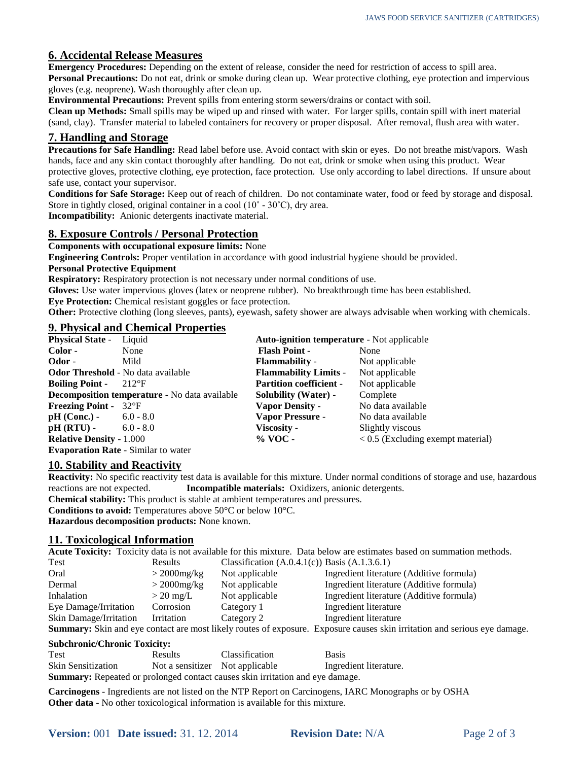## **6. Accidental Release Measures**

**Emergency Procedures:** Depending on the extent of release, consider the need for restriction of access to spill area. **Personal Precautions:** Do not eat, drink or smoke during clean up. Wear protective clothing, eye protection and impervious gloves (e.g. neoprene). Wash thoroughly after clean up.

**Environmental Precautions:** Prevent spills from entering storm sewers/drains or contact with soil.

**Clean up Methods:** Small spills may be wiped up and rinsed with water. For larger spills, contain spill with inert material (sand, clay). Transfer material to labeled containers for recovery or proper disposal. After removal, flush area with water.

#### **7. Handling and Storage**

**Precautions for Safe Handling:** Read label before use. Avoid contact with skin or eyes. Do not breathe mist/vapors. Wash hands, face and any skin contact thoroughly after handling. Do not eat, drink or smoke when using this product. Wear protective gloves, protective clothing, eye protection, face protection. Use only according to label directions. If unsure about safe use, contact your supervisor.

**Conditions for Safe Storage:** Keep out of reach of children. Do not contaminate water, food or feed by storage and disposal. Store in tightly closed, original container in a cool (10˚ - 30˚C), dry area.

**Incompatibility:** Anionic detergents inactivate material.

# **8. Exposure Controls / Personal Protection**

**Components with occupational exposure limits:** None

**Engineering Controls:** Proper ventilation in accordance with good industrial hygiene should be provided.

#### **Personal Protective Equipment**

**Respiratory:** Respiratory protection is not necessary under normal conditions of use.

**Gloves:** Use water impervious gloves (latex or neoprene rubber). No breakthrough time has been established. **Eye Protection:** Chemical resistant goggles or face protection.

**Other:** Protective clothing (long sleeves, pants), eyewash, safety shower are always advisable when working with chemicals.

# **9. Physical and Chemical Properties**

| <b>Physical State -</b>                   | Liquid                                               | <b>Auto-ignition temperature - Not applicable</b> |                                     |  |
|-------------------------------------------|------------------------------------------------------|---------------------------------------------------|-------------------------------------|--|
| Color -                                   | None                                                 | <b>Flash Point -</b>                              | None                                |  |
| Odor -                                    | Mild                                                 | <b>Flammability</b> -                             | Not applicable                      |  |
| <b>Odor Threshold</b> - No data available |                                                      | <b>Flammability Limits -</b>                      | Not applicable                      |  |
| <b>Boiling Point -</b>                    | $-212$ <sup>o</sup> F                                | <b>Partition coefficient -</b>                    | Not applicable                      |  |
|                                           | <b>Decomposition temperature</b> - No data available | <b>Solubility (Water)</b> -                       | Complete                            |  |
| <b>Freezing Point - 32°F</b>              |                                                      | <b>Vapor Density -</b>                            | No data available                   |  |
| $pH (Conc.) - 6.0 - 8.0$                  |                                                      | <b>Vapor Pressure -</b>                           | No data available                   |  |
| $pH (RTU) - 6.0 - 8.0$                    |                                                      | Viscosity -                                       | Slightly viscous                    |  |
| <b>Relative Density - 1.000</b>           |                                                      | $\%$ VOC -                                        | $< 0.5$ (Excluding exempt material) |  |
|                                           | <b>Evaporation Rate - Similar to water</b>           |                                                   |                                     |  |

## **10. Stability and Reactivity**

**Reactivity:** No specific reactivity test data is available for this mixture. Under normal conditions of storage and use, hazardous reactions are not expected. **Incompatible materials:** Oxidizers, anionic detergents. **Chemical stability:** This product is stable at ambient temperatures and pressures.

**Conditions to avoid:** Temperatures above 50°C or below 10°C.

**Hazardous decomposition products:** None known.

#### **11. Toxicological Information**

**Acute Toxicity:** Toxicity data is not available for this mixture. Data below are estimates based on summation methods.

| Test                   | Results             | Classification $(A.0.4.1(c))$ Basis $(A.1.3.6.1)$ |                                                                                                                           |
|------------------------|---------------------|---------------------------------------------------|---------------------------------------------------------------------------------------------------------------------------|
| Oral                   | $>$ 2000mg/kg       | Not applicable                                    | Ingredient literature (Additive formula)                                                                                  |
| Dermal                 | $>$ 2000mg/kg       | Not applicable                                    | Ingredient literature (Additive formula)                                                                                  |
| Inhalation             | $> 20 \text{ mg/L}$ | Not applicable                                    | Ingredient literature (Additive formula)                                                                                  |
| Eye Damage/Irritation  | Corrosion           | Category 1                                        | Ingredient literature                                                                                                     |
| Skin Damage/Irritation | Irritation          | Category 2                                        | Ingredient literature                                                                                                     |
|                        |                     |                                                   | Summary: Skin and eye contact are most likely routes of exposure. Exposure causes skin irritation and serious eye damage. |

#### **Subchronic/Chronic Toxicity:**

| <b>Test</b>                                                                          | Results                         | <b>Classification</b> | <b>Basis</b>           |  |
|--------------------------------------------------------------------------------------|---------------------------------|-----------------------|------------------------|--|
| <b>Skin Sensitization</b>                                                            | Not a sensitizer Not applicable |                       | Ingredient literature. |  |
| <b>Summary:</b> Repeated or prolonged contact causes skin irritation and eye damage. |                                 |                       |                        |  |

**Carcinogens** - Ingredients are not listed on the NTP Report on Carcinogens, IARC Monographs or by OSHA **Other data** - No other toxicological information is available for this mixture.